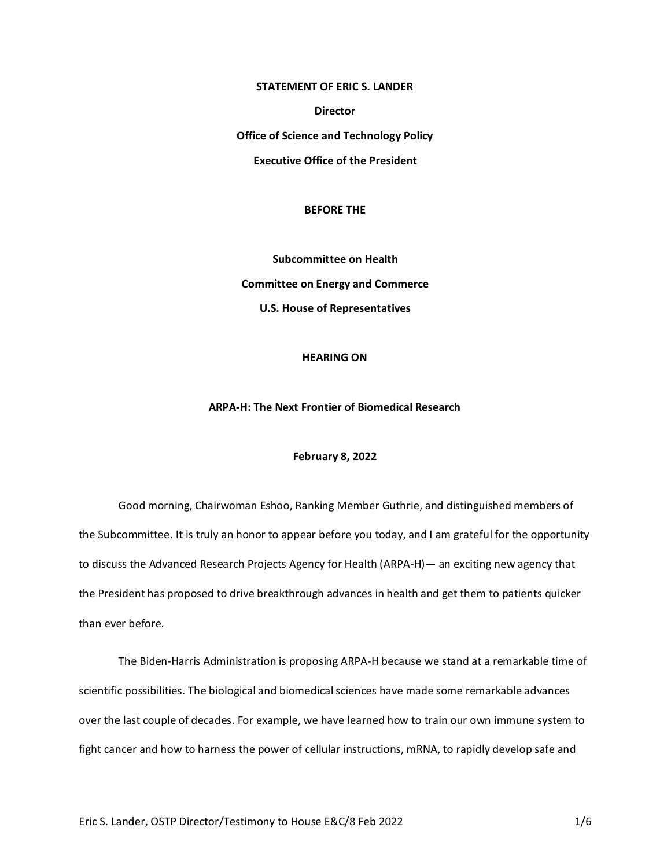### **STATEMENT OF ERIC S. LANDER**

**Director**

**Office of Science and Technology Policy**

**Executive Office of the President**

#### **BEFORE THE**

**Subcommittee on Health Committee on Energy and Commerce U.S. House of Representatives**

## **HEARING ON**

# **ARPA-H: The Next Frontier of Biomedical Research**

## **February 8, 2022**

Good morning, Chairwoman Eshoo, Ranking Member Guthrie, and distinguished members of the Subcommittee. It is truly an honor to appear before you today, and I am grateful for the opportunity to discuss the Advanced Research Projects Agency for Health (ARPA-H)— an exciting new agency that the President has proposed to drive breakthrough advances in health and get them to patients quicker than ever before.

The Biden-Harris Administration is proposing ARPA-H because we stand at a remarkable time of scientific possibilities. The biological and biomedical sciences have made some remarkable advances over the last couple of decades. For example, we have learned how to train our own immune system to fight cancer and how to harness the power of cellular instructions, mRNA, to rapidly develop safe and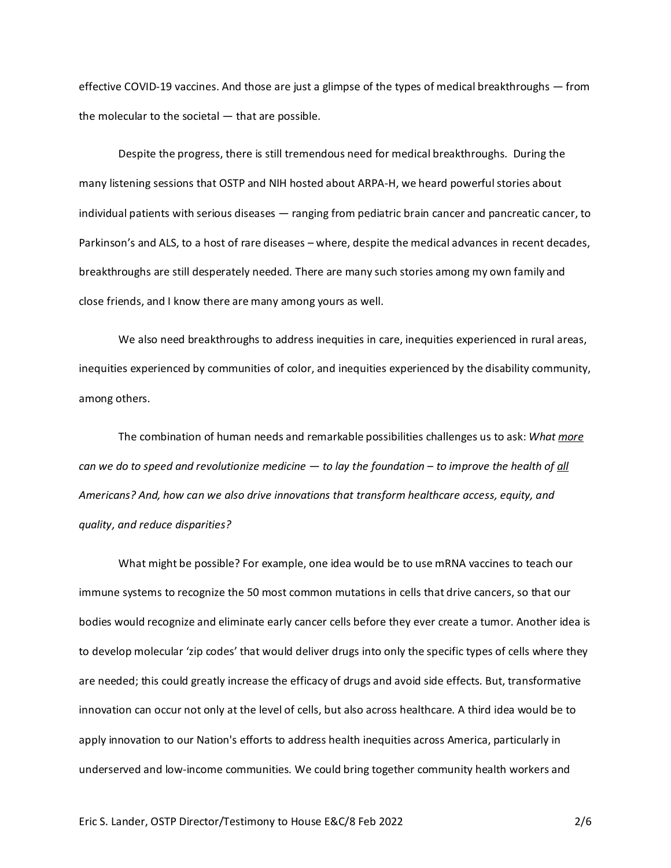effective COVID-19 vaccines. And those are just a glimpse of the types of medical breakthroughs — from the molecular to the societal — that are possible.

Despite the progress, there is still tremendous need for medical breakthroughs. During the many listening sessions that OSTP and NIH hosted about ARPA-H, we heard powerful stories about individual patients with serious diseases — ranging from pediatric brain cancer and pancreatic cancer, to Parkinson's and ALS, to a host of rare diseases – where, despite the medical advances in recent decades, breakthroughs are still desperately needed. There are many such stories among my own family and close friends, and I know there are many among yours as well.

We also need breakthroughs to address inequities in care, inequities experienced in rural areas, inequities experienced by communities of color, and inequities experienced by the disability community, among others.

The combination of human needs and remarkable possibilities challenges us to ask: *What more can we do to speed and revolutionize medicine — to lay the foundation – to improve the health of all Americans? And, how can we also drive innovations that transform healthcare access, equity, and quality, and reduce disparities?*

What might be possible? For example, one idea would be to use mRNA vaccines to teach our immune systems to recognize the 50 most common mutations in cells that drive cancers, so that our bodies would recognize and eliminate early cancer cells before they ever create a tumor. Another idea is to develop molecular 'zip codes' that would deliver drugs into only the specific types of cells where they are needed; this could greatly increase the efficacy of drugs and avoid side effects. But, transformative innovation can occur not only at the level of cells, but also across healthcare. A third idea would be to apply innovation to our Nation's efforts to address health inequities across America, particularly in underserved and low-income communities. We could bring together community health workers and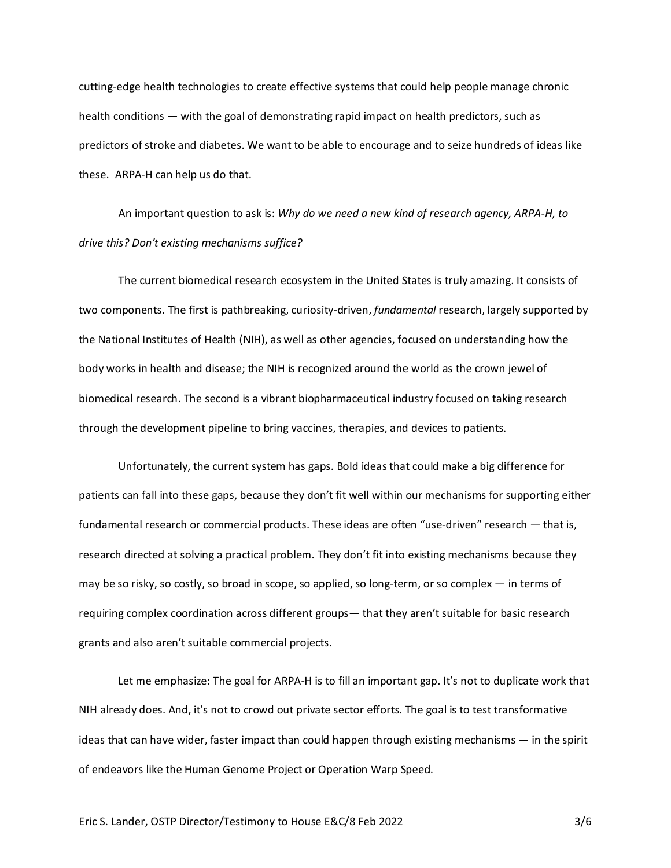cutting-edge health technologies to create effective systems that could help people manage chronic health conditions — with the goal of demonstrating rapid impact on health predictors, such as predictors of stroke and diabetes. We want to be able to encourage and to seize hundreds of ideas like these. ARPA-H can help us do that.

An important question to ask is: *Why do we need a new kind of research agency, ARPA-H, to drive this? Don't existing mechanisms suffice?*

The current biomedical research ecosystem in the United States is truly amazing. It consists of two components. The first is pathbreaking, curiosity-driven, *fundamental* research, largely supported by the National Institutes of Health (NIH), as well as other agencies, focused on understanding how the body works in health and disease; the NIH is recognized around the world as the crown jewel of biomedical research. The second is a vibrant biopharmaceutical industry focused on taking research through the development pipeline to bring vaccines, therapies, and devices to patients.

Unfortunately, the current system has gaps. Bold ideas that could make a big difference for patients can fall into these gaps, because they don't fit well within our mechanisms for supporting either fundamental research or commercial products. These ideas are often "use-driven" research — that is, research directed at solving a practical problem. They don't fit into existing mechanisms because they may be so risky, so costly, so broad in scope, so applied, so long-term, or so complex — in terms of requiring complex coordination across different groups— that they aren't suitable for basic research grants and also aren't suitable commercial projects.

Let me emphasize: The goal for ARPA-H is to fill an important gap. It's not to duplicate work that NIH already does. And, it's not to crowd out private sector efforts. The goal is to test transformative ideas that can have wider, faster impact than could happen through existing mechanisms — in the spirit of endeavors like the Human Genome Project or Operation Warp Speed.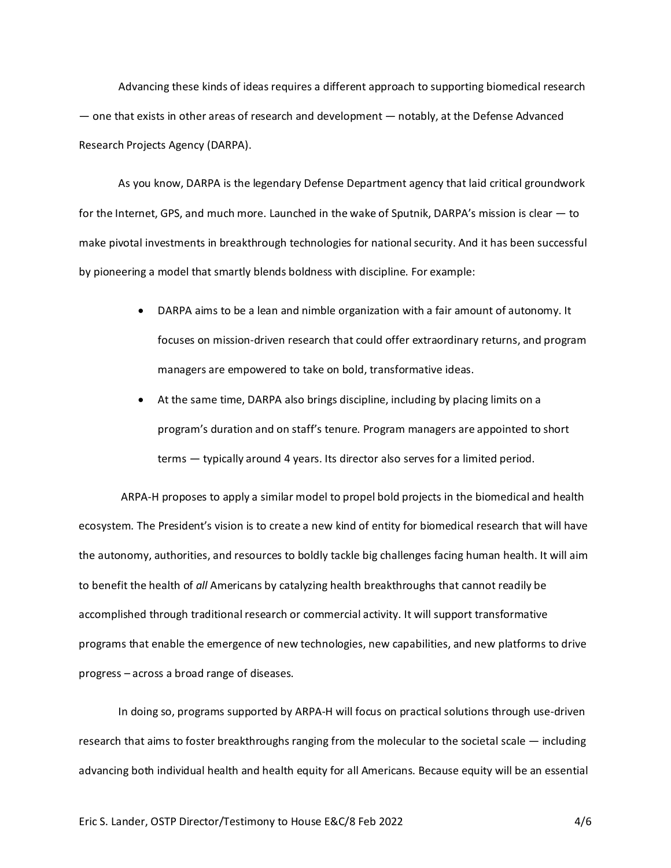Advancing these kinds of ideas requires a different approach to supporting biomedical research — one that exists in other areas of research and development — notably, at the Defense Advanced Research Projects Agency (DARPA).

As you know, DARPA is the legendary Defense Department agency that laid critical groundwork for the Internet, GPS, and much more. Launched in the wake of Sputnik, DARPA's mission is clear — to make pivotal investments in breakthrough technologies for national security. And it has been successful by pioneering a model that smartly blends boldness with discipline. For example:

- DARPA aims to be a lean and nimble organization with a fair amount of autonomy. It focuses on mission-driven research that could offer extraordinary returns, and program managers are empowered to take on bold, transformative ideas.
- At the same time, DARPA also brings discipline, including by placing limits on a program's duration and on staff's tenure. Program managers are appointed to short terms — typically around 4 years. Its director also serves for a limited period.

ARPA-H proposes to apply a similar model to propel bold projects in the biomedical and health ecosystem. The President's vision is to create a new kind of entity for biomedical research that will have the autonomy, authorities, and resources to boldly tackle big challenges facing human health. It will aim to benefit the health of *all* Americans by catalyzing health breakthroughs that cannot readily be accomplished through traditional research or commercial activity. It will support transformative programs that enable the emergence of new technologies, new capabilities, and new platforms to drive progress – across a broad range of diseases.

In doing so, programs supported by ARPA-H will focus on practical solutions through use-driven research that aims to foster breakthroughs ranging from the molecular to the societal scale — including advancing both individual health and health equity for all Americans. Because equity will be an essential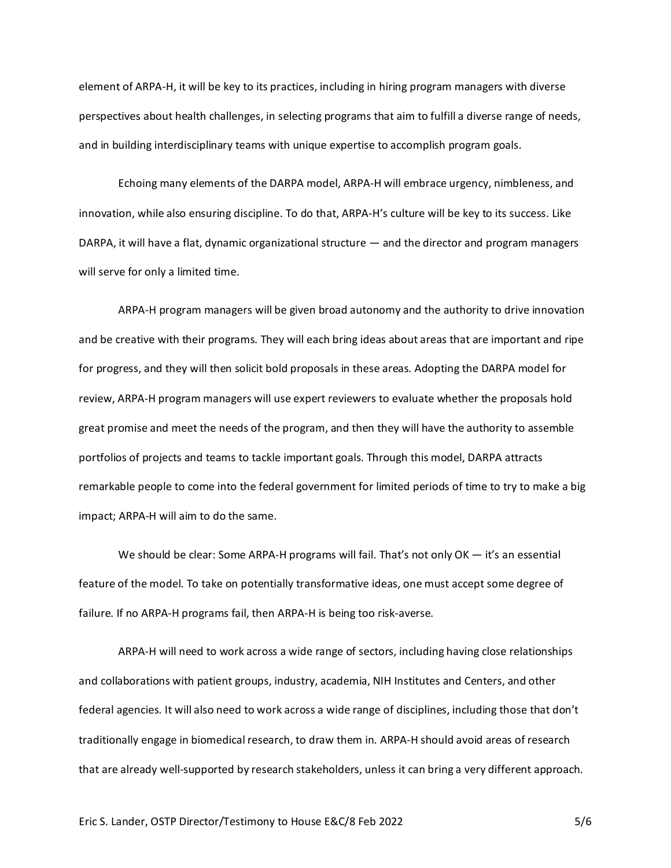element of ARPA-H, it will be key to its practices, including in hiring program managers with diverse perspectives about health challenges, in selecting programs that aim to fulfill a diverse range of needs, and in building interdisciplinary teams with unique expertise to accomplish program goals.

Echoing many elements of the DARPA model, ARPA-H will embrace urgency, nimbleness, and innovation, while also ensuring discipline. To do that, ARPA-H's culture will be key to its success. Like DARPA, it will have a flat, dynamic organizational structure — and the director and program managers will serve for only a limited time.

ARPA-H program managers will be given broad autonomy and the authority to drive innovation and be creative with their programs. They will each bring ideas about areas that are important and ripe for progress, and they will then solicit bold proposals in these areas. Adopting the DARPA model for review, ARPA-H program managers will use expert reviewers to evaluate whether the proposals hold great promise and meet the needs of the program, and then they will have the authority to assemble portfolios of projects and teams to tackle important goals. Through this model, DARPA attracts remarkable people to come into the federal government for limited periods of time to try to make a big impact; ARPA-H will aim to do the same.

We should be clear: Some ARPA-H programs will fail. That's not only OK - it's an essential feature of the model. To take on potentially transformative ideas, one must accept some degree of failure. If no ARPA-H programs fail, then ARPA-H is being too risk-averse.

ARPA-H will need to work across a wide range of sectors, including having close relationships and collaborations with patient groups, industry, academia, NIH Institutes and Centers, and other federal agencies. It will also need to work across a wide range of disciplines, including those that don't traditionally engage in biomedical research, to draw them in. ARPA-H should avoid areas of research that are already well-supported by research stakeholders, unless it can bring a very different approach.